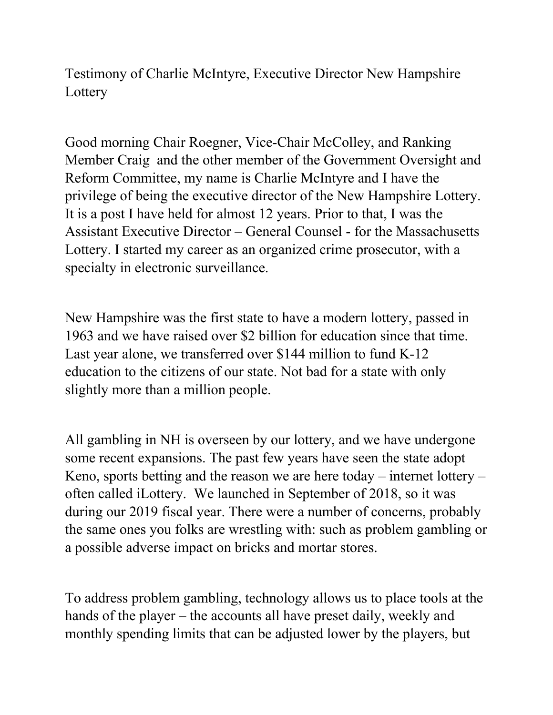Testimony of Charlie McIntyre, Executive Director New Hampshire **Lottery** 

Good morning Chair Roegner, Vice-Chair McColley, and Ranking Member Craig and the other member of the Government Oversight and Reform Committee, my name is Charlie McIntyre and I have the privilege of being the executive director of the New Hampshire Lottery. It is a post I have held for almost 12 years. Prior to that, I was the Assistant Executive Director – General Counsel - for the Massachusetts Lottery. I started my career as an organized crime prosecutor, with a specialty in electronic surveillance.

New Hampshire was the first state to have a modern lottery, passed in 1963 and we have raised over \$2 billion for education since that time. Last year alone, we transferred over \$144 million to fund K-12 education to the citizens of our state. Not bad for a state with only slightly more than a million people.

All gambling in NH is overseen by our lottery, and we have undergone some recent expansions. The past few years have seen the state adopt Keno, sports betting and the reason we are here today – internet lottery – often called iLottery. We launched in September of 2018, so it was during our 2019 fiscal year. There were a number of concerns, probably the same ones you folks are wrestling with: such as problem gambling or a possible adverse impact on bricks and mortar stores.

To address problem gambling, technology allows us to place tools at the hands of the player – the accounts all have preset daily, weekly and monthly spending limits that can be adjusted lower by the players, but